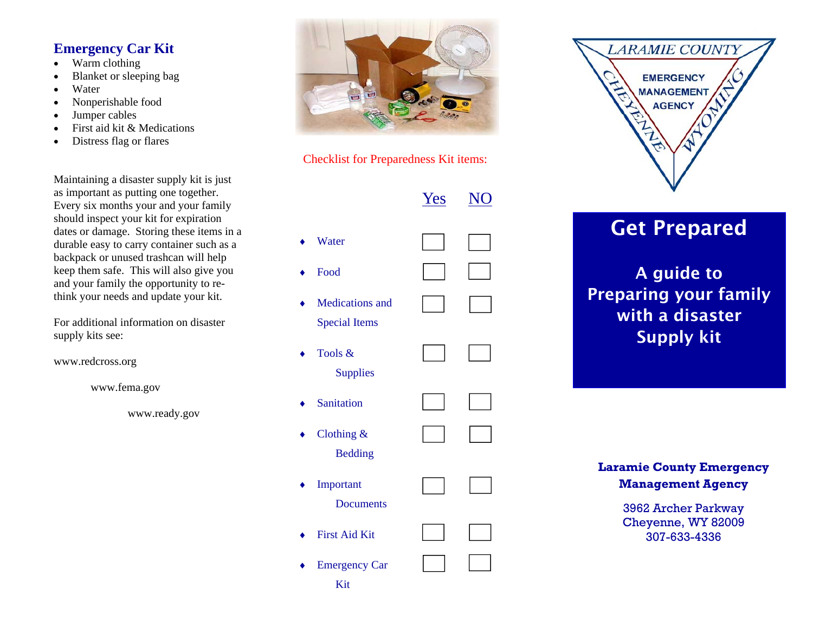### **Emergency Car Kit**

- $\bullet$ Warm clothing
- $\bullet$ Blanket or sleeping bag
- $\bullet$ Water
- $\bullet$ Nonperishable food
- $\bullet$ Jumper cables
- $\bullet$ First aid kit & Medications
- $\bullet$ Distress flag or flares

Maintaining a disaster supply kit is just as important as putting one together. Every six months your and your family should inspect your kit for expiration dates or damage. Storing these items in a durable easy to carry container such as a backpack or unused trashcan will help keep them safe. This will also give you and your family the opportunity to rethink your needs and update your kit.

For additional information on disaster supply kits see:

www.redcross.org

www.fema.gov

www.ready.gov





|                                                | Yes |  |
|------------------------------------------------|-----|--|
| Water                                          |     |  |
| Food                                           |     |  |
| <b>Medications</b> and<br><b>Special Items</b> |     |  |
| Tools &<br><b>Supplies</b>                     |     |  |
| Sanitation                                     |     |  |
| Clothing &<br><b>Bedding</b>                   |     |  |
| Important<br><b>Documents</b>                  |     |  |
| <b>First Aid Kit</b>                           |     |  |
| <b>Emergency Car</b><br>Kit                    |     |  |



# Get Prepared

A guide to Preparing your family with a disaster Supply kit

**Laramie County Emergency Management Agency** 

> 3962 Archer Parkway Cheyenne, WY 82009 307-633-4336